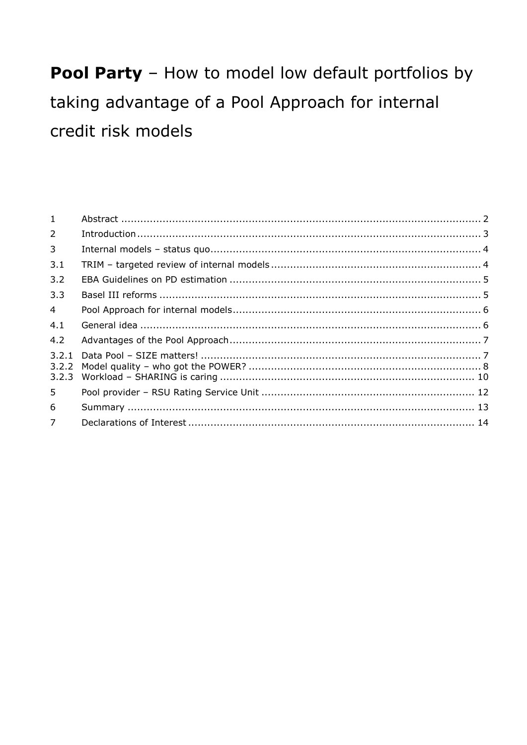# Pool Party - How to model low default portfolios by taking advantage of a Pool Approach for internal credit risk models

| 1              |  |
|----------------|--|
| $\overline{2}$ |  |
| $\overline{3}$ |  |
| 3.1            |  |
| 3.2            |  |
| 3.3            |  |
| 4 <sup>1</sup> |  |
| 4.1            |  |
| 4.2            |  |
|                |  |
| 5              |  |
| 6              |  |
| 7 <sup>1</sup> |  |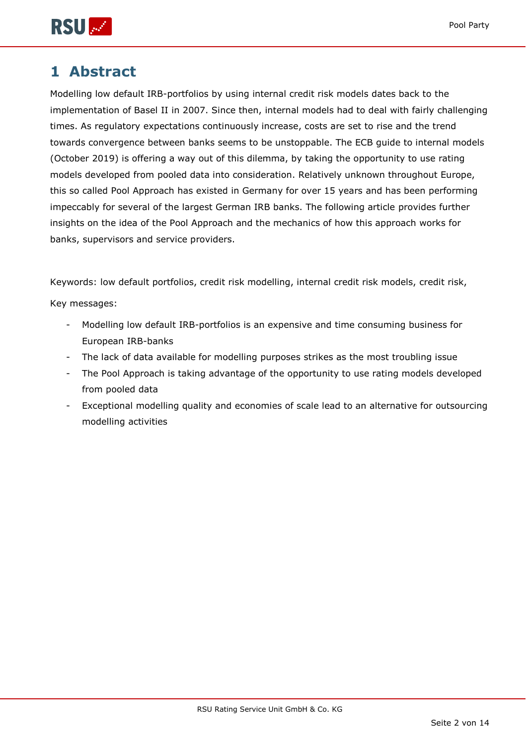



## <span id="page-1-0"></span>**1 Abstract**

Modelling low default IRB-portfolios by using internal credit risk models dates back to the implementation of Basel II in 2007. Since then, internal models had to deal with fairly challenging times. As regulatory expectations continuously increase, costs are set to rise and the trend towards convergence between banks seems to be unstoppable. The ECB guide to internal models (October 2019) is offering a way out of this dilemma, by taking the opportunity to use rating models developed from pooled data into consideration. Relatively unknown throughout Europe, this so called Pool Approach has existed in Germany for over 15 years and has been performing impeccably for several of the largest German IRB banks. The following article provides further insights on the idea of the Pool Approach and the mechanics of how this approach works for banks, supervisors and service providers.

Keywords: low default portfolios, credit risk modelling, internal credit risk models, credit risk,

Key messages:

- Modelling low default IRB-portfolios is an expensive and time consuming business for European IRB-banks
- The lack of data available for modelling purposes strikes as the most troubling issue
- The Pool Approach is taking advantage of the opportunity to use rating models developed from pooled data
- Exceptional modelling quality and economies of scale lead to an alternative for outsourcing modelling activities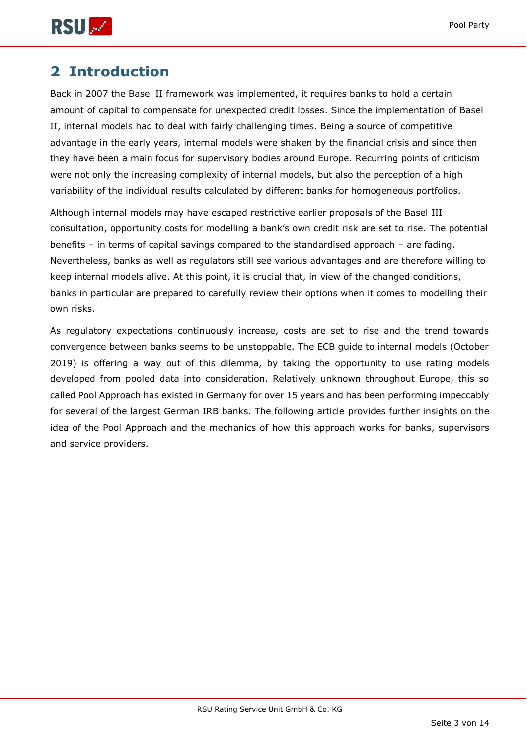

## <span id="page-2-0"></span>**2 Introduction**

Back in 2007 the Basel II framework was implemented, it requires banks to hold a certain amount of capital to compensate for unexpected credit losses. Since the implementation of Basel II, internal models had to deal with fairly challenging times. Being a source of competitive advantage in the early years, internal models were shaken by the financial crisis and since then they have been a main focus for supervisory bodies around Europe. Recurring points of criticism were not only the increasing complexity of internal models, but also the perception of a high variability of the individual results calculated by different banks for homogeneous portfolios.

Although internal models may have escaped restrictive earlier proposals of the Basel III consultation, opportunity costs for modelling a bank's own credit risk are set to rise. The potential benefits – in terms of capital savings compared to the standardised approach – are fading. Nevertheless, banks as well as regulators still see various advantages and are therefore willing to keep internal models alive. At this point, it is crucial that, in view of the changed conditions, banks in particular are prepared to carefully review their options when it comes to modelling their own risks.

As regulatory expectations continuously increase, costs are set to rise and the trend towards convergence between banks seems to be unstoppable. The ECB guide to internal models (October 2019) is offering a way out of this dilemma, by taking the opportunity to use rating models developed from pooled data into consideration. Relatively unknown throughout Europe, this so called Pool Approach has existed in Germany for over 15 years and has been performing impeccably for several of the largest German IRB banks. The following article provides further insights on the idea of the Pool Approach and the mechanics of how this approach works for banks, supervisors and service providers.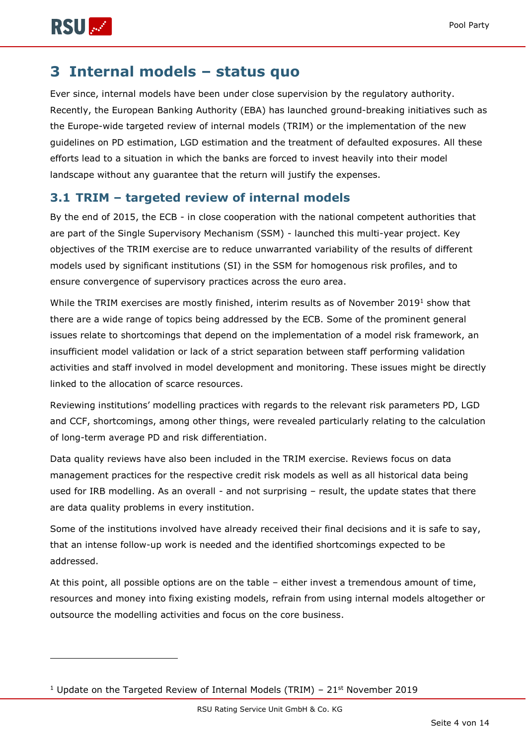

-

## <span id="page-3-0"></span>**3 Internal models – status quo**

Ever since, internal models have been under close supervision by the regulatory authority. Recently, the European Banking Authority (EBA) has launched ground-breaking initiatives such as the Europe-wide targeted review of internal models (TRIM) or the implementation of the new guidelines on PD estimation, LGD estimation and the treatment of defaulted exposures. All these efforts lead to a situation in which the banks are forced to invest heavily into their model landscape without any guarantee that the return will justify the expenses.

## <span id="page-3-1"></span>**3.1 TRIM – targeted review of internal models**

By the end of 2015, the ECB - in close cooperation with the national competent authorities that are part of the Single Supervisory Mechanism (SSM) - launched this multi-year project. Key objectives of the TRIM exercise are to reduce unwarranted variability of the results of different models used by significant institutions (SI) in the SSM for homogenous risk profiles, and to ensure convergence of supervisory practices across the euro area.

While the TRIM exercises are mostly finished, interim results as of November 2019<sup>1</sup> show that there are a wide range of topics being addressed by the ECB. Some of the prominent general issues relate to shortcomings that depend on the implementation of a model risk framework, an insufficient model validation or lack of a strict separation between staff performing validation activities and staff involved in model development and monitoring. These issues might be directly linked to the allocation of scarce resources.

Reviewing institutions' modelling practices with regards to the relevant risk parameters PD, LGD and CCF, shortcomings, among other things, were revealed particularly relating to the calculation of long-term average PD and risk differentiation.

Data quality reviews have also been included in the TRIM exercise. Reviews focus on data management practices for the respective credit risk models as well as all historical data being used for IRB modelling. As an overall - and not surprising – result, the update states that there are data quality problems in every institution.

Some of the institutions involved have already received their final decisions and it is safe to say, that an intense follow-up work is needed and the identified shortcomings expected to be addressed.

At this point, all possible options are on the table – either invest a tremendous amount of time, resources and money into fixing existing models, refrain from using internal models altogether or outsource the modelling activities and focus on the core business.

<sup>&</sup>lt;sup>1</sup> Update on the Targeted Review of Internal Models (TRIM) –  $21<sup>st</sup>$  November 2019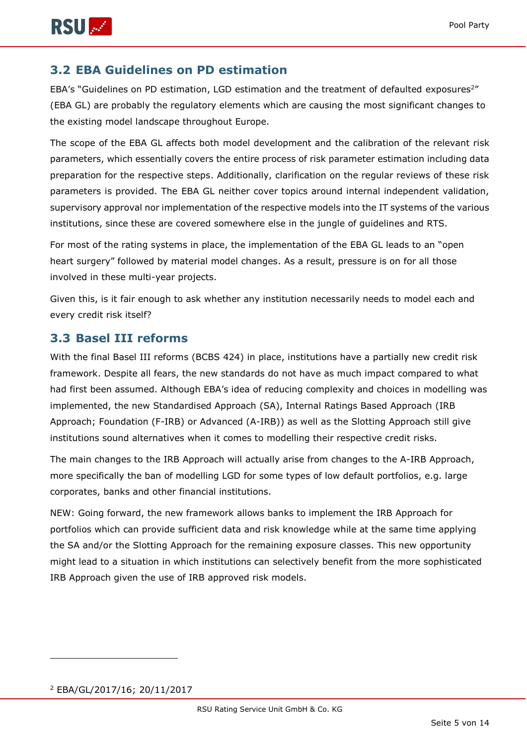

#### <span id="page-4-0"></span>**3.2 EBA Guidelines on PD estimation**

EBA's "Guidelines on PD estimation, LGD estimation and the treatment of defaulted exposures<sup>2"</sup> (EBA GL) are probably the regulatory elements which are causing the most significant changes to the existing model landscape throughout Europe.

The scope of the EBA GL affects both model development and the calibration of the relevant risk parameters, which essentially covers the entire process of risk parameter estimation including data preparation for the respective steps. Additionally, clarification on the regular reviews of these risk parameters is provided. The EBA GL neither cover topics around internal independent validation, supervisory approval nor implementation of the respective models into the IT systems of the various institutions, since these are covered somewhere else in the jungle of guidelines and RTS.

For most of the rating systems in place, the implementation of the EBA GL leads to an "open heart surgery" followed by material model changes. As a result, pressure is on for all those involved in these multi-year projects.

Given this, is it fair enough to ask whether any institution necessarily needs to model each and every credit risk itself?

#### <span id="page-4-1"></span>**3.3 Basel III reforms**

With the final Basel III reforms (BCBS 424) in place, institutions have a partially new credit risk framework. Despite all fears, the new standards do not have as much impact compared to what had first been assumed. Although EBA's idea of reducing complexity and choices in modelling was implemented, the new Standardised Approach (SA), Internal Ratings Based Approach (IRB Approach; Foundation (F-IRB) or Advanced (A-IRB)) as well as the Slotting Approach still give institutions sound alternatives when it comes to modelling their respective credit risks.

The main changes to the IRB Approach will actually arise from changes to the A-IRB Approach, more specifically the ban of modelling LGD for some types of low default portfolios, e.g. large corporates, banks and other financial institutions.

NEW: Going forward, the new framework allows banks to implement the IRB Approach for portfolios which can provide sufficient data and risk knowledge while at the same time applying the SA and/or the Slotting Approach for the remaining exposure classes. This new opportunity might lead to a situation in which institutions can selectively benefit from the more sophisticated IRB Approach given the use of IRB approved risk models.

-

<sup>2</sup> EBA/GL/2017/16; 20/11/2017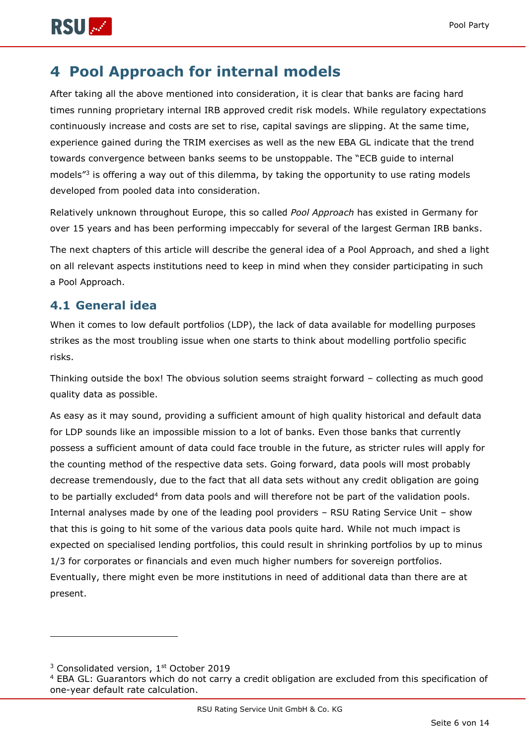

## <span id="page-5-0"></span>**4 Pool Approach for internal models**

After taking all the above mentioned into consideration, it is clear that banks are facing hard times running proprietary internal IRB approved credit risk models. While regulatory expectations continuously increase and costs are set to rise, capital savings are slipping. At the same time, experience gained during the TRIM exercises as well as the new EBA GL indicate that the trend towards convergence between banks seems to be unstoppable. The "ECB guide to internal models<sup>"3</sup> is offering a way out of this dilemma, by taking the opportunity to use rating models developed from pooled data into consideration.

Relatively unknown throughout Europe, this so called *Pool Approach* has existed in Germany for over 15 years and has been performing impeccably for several of the largest German IRB banks.

The next chapters of this article will describe the general idea of a Pool Approach, and shed a light on all relevant aspects institutions need to keep in mind when they consider participating in such a Pool Approach.

#### <span id="page-5-1"></span>**4.1 General idea**

When it comes to low default portfolios (LDP), the lack of data available for modelling purposes strikes as the most troubling issue when one starts to think about modelling portfolio specific risks.

Thinking outside the box! The obvious solution seems straight forward – collecting as much good quality data as possible.

As easy as it may sound, providing a sufficient amount of high quality historical and default data for LDP sounds like an impossible mission to a lot of banks. Even those banks that currently possess a sufficient amount of data could face trouble in the future, as stricter rules will apply for the counting method of the respective data sets. Going forward, data pools will most probably decrease tremendously, due to the fact that all data sets without any credit obligation are going to be partially excluded<sup>4</sup> from data pools and will therefore not be part of the validation pools. Internal analyses made by one of the leading pool providers – RSU Rating Service Unit – show that this is going to hit some of the various data pools quite hard. While not much impact is expected on specialised lending portfolios, this could result in shrinking portfolios by up to minus 1/3 for corporates or financials and even much higher numbers for sovereign portfolios. Eventually, there might even be more institutions in need of additional data than there are at present.

-

<sup>&</sup>lt;sup>3</sup> Consolidated version, 1<sup>st</sup> October 2019

<sup>&</sup>lt;sup>4</sup> EBA GL: Guarantors which do not carry a credit obligation are excluded from this specification of one-year default rate calculation.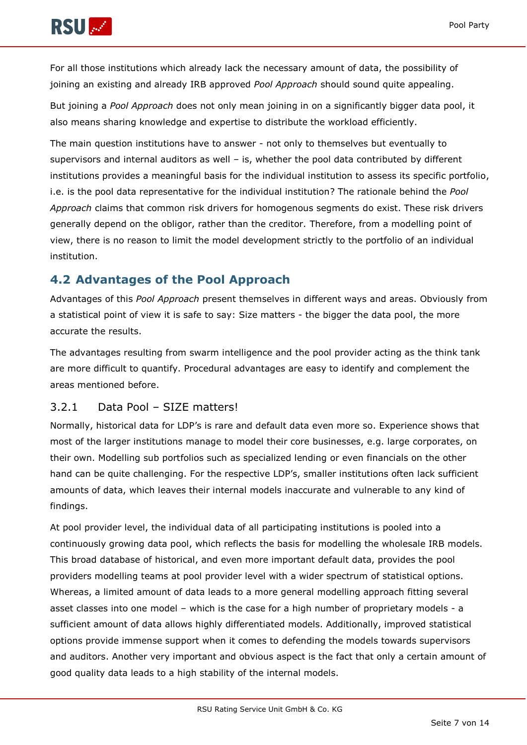

For all those institutions which already lack the necessary amount of data, the possibility of joining an existing and already IRB approved *Pool Approach* should sound quite appealing.

But joining a *Pool Approach* does not only mean joining in on a significantly bigger data pool, it also means sharing knowledge and expertise to distribute the workload efficiently.

The main question institutions have to answer - not only to themselves but eventually to supervisors and internal auditors as well – is, whether the pool data contributed by different institutions provides a meaningful basis for the individual institution to assess its specific portfolio, i.e. is the pool data representative for the individual institution? The rationale behind the *Pool Approach* claims that common risk drivers for homogenous segments do exist. These risk drivers generally depend on the obligor, rather than the creditor. Therefore, from a modelling point of view, there is no reason to limit the model development strictly to the portfolio of an individual institution.

## <span id="page-6-0"></span>**4.2 Advantages of the Pool Approach**

Advantages of this *Pool Approach* present themselves in different ways and areas. Obviously from a statistical point of view it is safe to say: Size matters - the bigger the data pool, the more accurate the results.

The advantages resulting from swarm intelligence and the pool provider acting as the think tank are more difficult to quantify. Procedural advantages are easy to identify and complement the areas mentioned before.

#### <span id="page-6-1"></span>3.2.1 Data Pool – SIZE matters!

Normally, historical data for LDP's is rare and default data even more so. Experience shows that most of the larger institutions manage to model their core businesses, e.g. large corporates, on their own. Modelling sub portfolios such as specialized lending or even financials on the other hand can be quite challenging. For the respective LDP's, smaller institutions often lack sufficient amounts of data, which leaves their internal models inaccurate and vulnerable to any kind of findings.

At pool provider level, the individual data of all participating institutions is pooled into a continuously growing data pool, which reflects the basis for modelling the wholesale IRB models. This broad database of historical, and even more important default data, provides the pool providers modelling teams at pool provider level with a wider spectrum of statistical options. Whereas, a limited amount of data leads to a more general modelling approach fitting several asset classes into one model – which is the case for a high number of proprietary models - a sufficient amount of data allows highly differentiated models. Additionally, improved statistical options provide immense support when it comes to defending the models towards supervisors and auditors. Another very important and obvious aspect is the fact that only a certain amount of good quality data leads to a high stability of the internal models.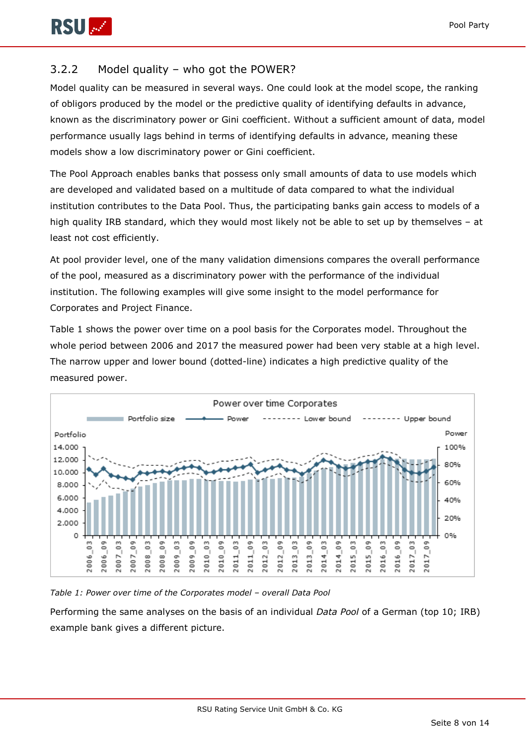

#### <span id="page-7-0"></span>3.2.2 Model quality – who got the POWER?

Model quality can be measured in several ways. One could look at the model scope, the ranking of obligors produced by the model or the predictive quality of identifying defaults in advance, known as the discriminatory power or Gini coefficient. Without a sufficient amount of data, model performance usually lags behind in terms of identifying defaults in advance, meaning these models show a low discriminatory power or Gini coefficient.

The Pool Approach enables banks that possess only small amounts of data to use models which are developed and validated based on a multitude of data compared to what the individual institution contributes to the Data Pool. Thus, the participating banks gain access to models of a high quality IRB standard, which they would most likely not be able to set up by themselves – at least not cost efficiently.

At pool provider level, one of the many validation dimensions compares the overall performance of the pool, measured as a discriminatory power with the performance of the individual institution. The following examples will give some insight to the model performance for Corporates and Project Finance.

Table 1 shows the power over time on a pool basis for the Corporates model. Throughout the whole period between 2006 and 2017 the measured power had been very stable at a high level. The narrow upper and lower bound (dotted-line) indicates a high predictive quality of the measured power.



*Table 1: Power over time of the Corporates model – overall Data Pool*

Performing the same analyses on the basis of an individual *Data Pool* of a German (top 10; IRB) example bank gives a different picture.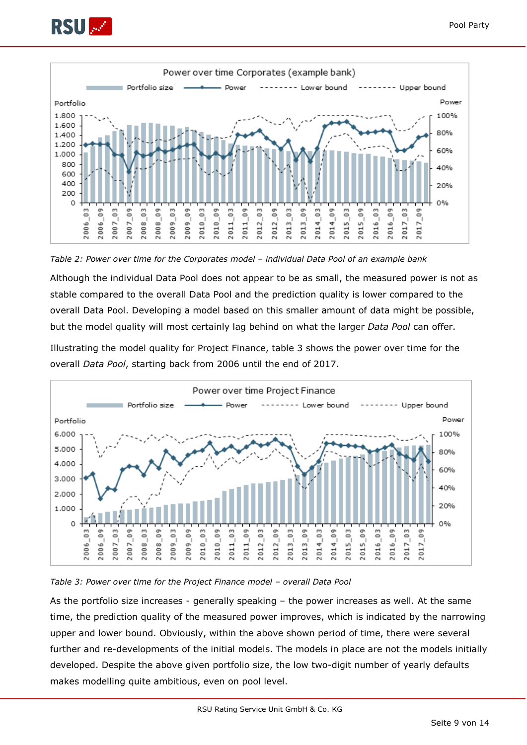



*Table 2: Power over time for the Corporates model – individual Data Pool of an example bank*

Although the individual Data Pool does not appear to be as small, the measured power is not as stable compared to the overall Data Pool and the prediction quality is lower compared to the overall Data Pool. Developing a model based on this smaller amount of data might be possible, but the model quality will most certainly lag behind on what the larger *Data Pool* can offer.

Illustrating the model quality for Project Finance, table 3 shows the power over time for the overall *Data Pool*, starting back from 2006 until the end of 2017.



*Table 3: Power over time for the Project Finance model – overall Data Pool*

As the portfolio size increases - generally speaking – the power increases as well. At the same time, the prediction quality of the measured power improves, which is indicated by the narrowing upper and lower bound. Obviously, within the above shown period of time, there were several further and re-developments of the initial models. The models in place are not the models initially developed. Despite the above given portfolio size, the low two-digit number of yearly defaults makes modelling quite ambitious, even on pool level.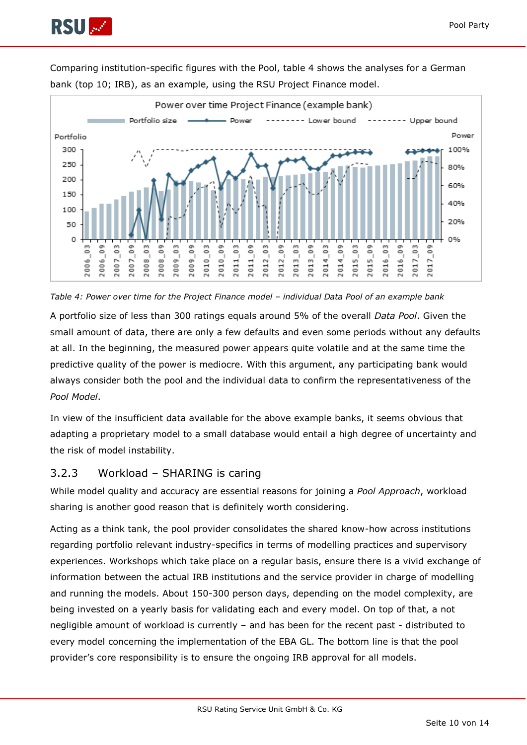



Comparing institution-specific figures with the Pool, table 4 shows the analyses for a German bank (top 10; IRB), as an example, using the RSU Project Finance model.



A portfolio size of less than 300 ratings equals around 5% of the overall *Data Pool*. Given the small amount of data, there are only a few defaults and even some periods without any defaults at all. In the beginning, the measured power appears quite volatile and at the same time the predictive quality of the power is mediocre. With this argument, any participating bank would always consider both the pool and the individual data to confirm the representativeness of the *Pool Model*.

In view of the insufficient data available for the above example banks, it seems obvious that adapting a proprietary model to a small database would entail a high degree of uncertainty and the risk of model instability.

#### <span id="page-9-0"></span>3.2.3 Workload – SHARING is caring

While model quality and accuracy are essential reasons for joining a *Pool Approach*, workload sharing is another good reason that is definitely worth considering.

Acting as a think tank, the pool provider consolidates the shared know-how across institutions regarding portfolio relevant industry-specifics in terms of modelling practices and supervisory experiences. Workshops which take place on a regular basis, ensure there is a vivid exchange of information between the actual IRB institutions and the service provider in charge of modelling and running the models. About 150-300 person days, depending on the model complexity, are being invested on a yearly basis for validating each and every model. On top of that, a not negligible amount of workload is currently – and has been for the recent past - distributed to every model concerning the implementation of the EBA GL. The bottom line is that the pool provider's core responsibility is to ensure the ongoing IRB approval for all models.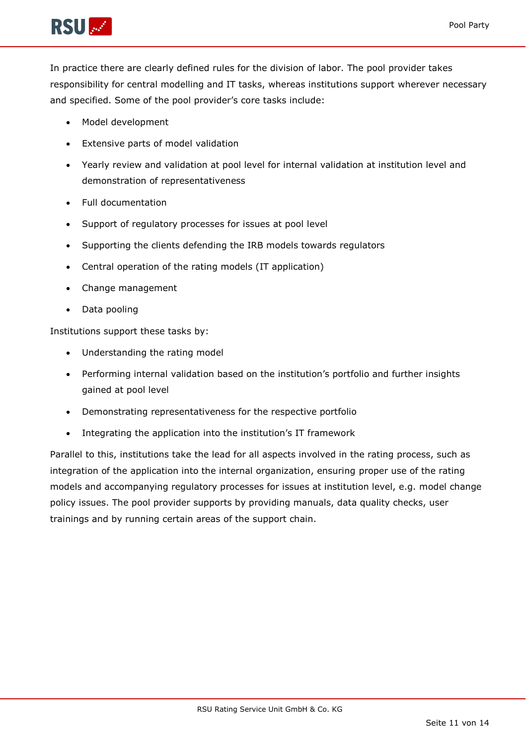

In practice there are clearly defined rules for the division of labor. The pool provider takes responsibility for central modelling and IT tasks, whereas institutions support wherever necessary and specified. Some of the pool provider's core tasks include:

- Model development
- Extensive parts of model validation
- Yearly review and validation at pool level for internal validation at institution level and demonstration of representativeness
- Full documentation
- Support of regulatory processes for issues at pool level
- Supporting the clients defending the IRB models towards regulators
- Central operation of the rating models (IT application)
- Change management
- Data pooling

Institutions support these tasks by:

- Understanding the rating model
- Performing internal validation based on the institution's portfolio and further insights gained at pool level
- Demonstrating representativeness for the respective portfolio
- Integrating the application into the institution's IT framework

Parallel to this, institutions take the lead for all aspects involved in the rating process, such as integration of the application into the internal organization, ensuring proper use of the rating models and accompanying regulatory processes for issues at institution level, e.g. model change policy issues. The pool provider supports by providing manuals, data quality checks, user trainings and by running certain areas of the support chain.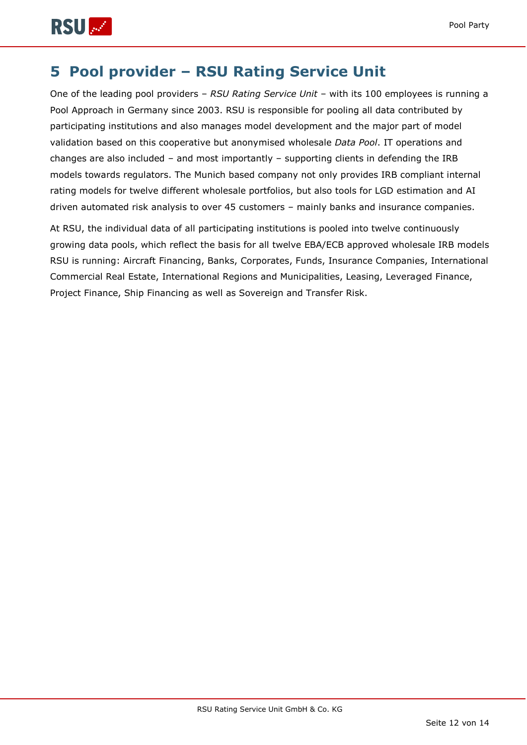

## <span id="page-11-0"></span>**5 Pool provider – RSU Rating Service Unit**

One of the leading pool providers – *RSU Rating Service Unit* – with its 100 employees is running a Pool Approach in Germany since 2003. RSU is responsible for pooling all data contributed by participating institutions and also manages model development and the major part of model validation based on this cooperative but anonymised wholesale *Data Pool*. IT operations and changes are also included – and most importantly – supporting clients in defending the IRB models towards regulators. The Munich based company not only provides IRB compliant internal rating models for twelve different wholesale portfolios, but also tools for LGD estimation and AI driven automated risk analysis to over 45 customers – mainly banks and insurance companies.

At RSU, the individual data of all participating institutions is pooled into twelve continuously growing data pools, which reflect the basis for all twelve EBA/ECB approved wholesale IRB models RSU is running: Aircraft Financing, Banks, Corporates, Funds, Insurance Companies, International Commercial Real Estate, International Regions and Municipalities, Leasing, Leveraged Finance, Project Finance, Ship Financing as well as Sovereign and Transfer Risk.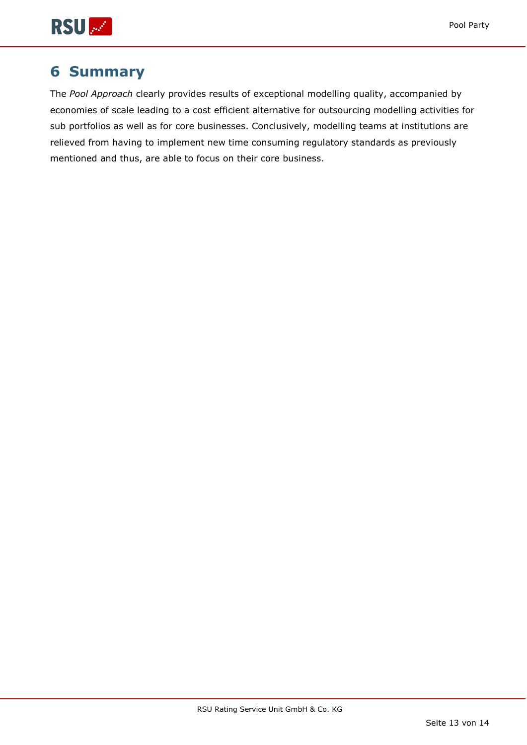

## <span id="page-12-0"></span>**6 Summary**

The *Pool Approach* clearly provides results of exceptional modelling quality, accompanied by economies of scale leading to a cost efficient alternative for outsourcing modelling activities for sub portfolios as well as for core businesses. Conclusively, modelling teams at institutions are relieved from having to implement new time consuming regulatory standards as previously mentioned and thus, are able to focus on their core business.